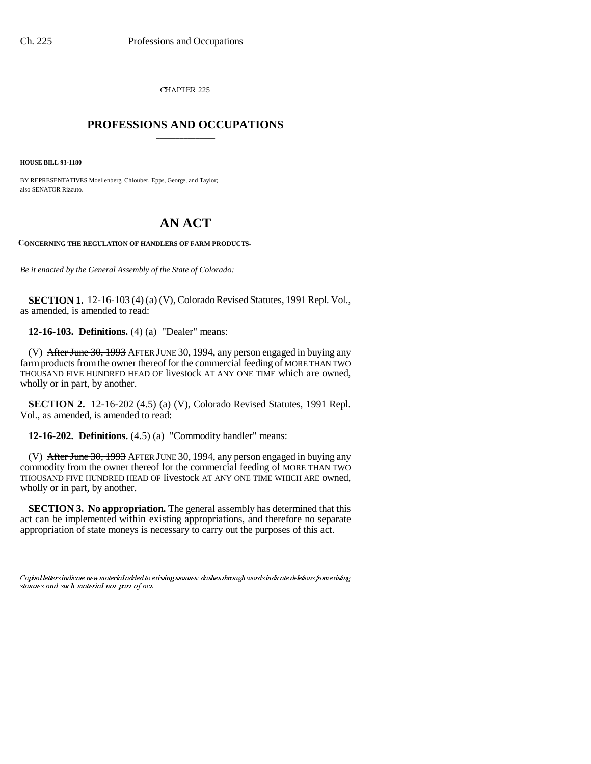CHAPTER 225

## \_\_\_\_\_\_\_\_\_\_\_\_\_\_\_ **PROFESSIONS AND OCCUPATIONS** \_\_\_\_\_\_\_\_\_\_\_\_\_\_\_

**HOUSE BILL 93-1180**

BY REPRESENTATIVES Moellenberg, Chlouber, Epps, George, and Taylor; also SENATOR Rizzuto.

## **AN ACT**

**CONCERNING THE REGULATION OF HANDLERS OF FARM PRODUCTS.**

*Be it enacted by the General Assembly of the State of Colorado:*

**SECTION 1.** 12-16-103 (4) (a) (V), Colorado Revised Statutes, 1991 Repl. Vol., as amended, is amended to read:

**12-16-103. Definitions.** (4) (a) "Dealer" means:

(V) After June 30, 1993 AFTER JUNE 30, 1994, any person engaged in buying any farm products from the owner thereof for the commercial feeding of MORE THAN TWO THOUSAND FIVE HUNDRED HEAD OF livestock AT ANY ONE TIME which are owned, wholly or in part, by another.

**SECTION 2.** 12-16-202 (4.5) (a) (V), Colorado Revised Statutes, 1991 Repl. Vol., as amended, is amended to read:

**12-16-202. Definitions.** (4.5) (a) "Commodity handler" means:

wholly or in part, by another. (V) After June 30, 1993 AFTER JUNE 30, 1994, any person engaged in buying any commodity from the owner thereof for the commercial feeding of MORE THAN TWO THOUSAND FIVE HUNDRED HEAD OF livestock AT ANY ONE TIME WHICH ARE owned,

**SECTION 3. No appropriation.** The general assembly has determined that this act can be implemented within existing appropriations, and therefore no separate appropriation of state moneys is necessary to carry out the purposes of this act.

Capital letters indicate new material added to existing statutes; dashes through words indicate deletions from existing statutes and such material not part of act.